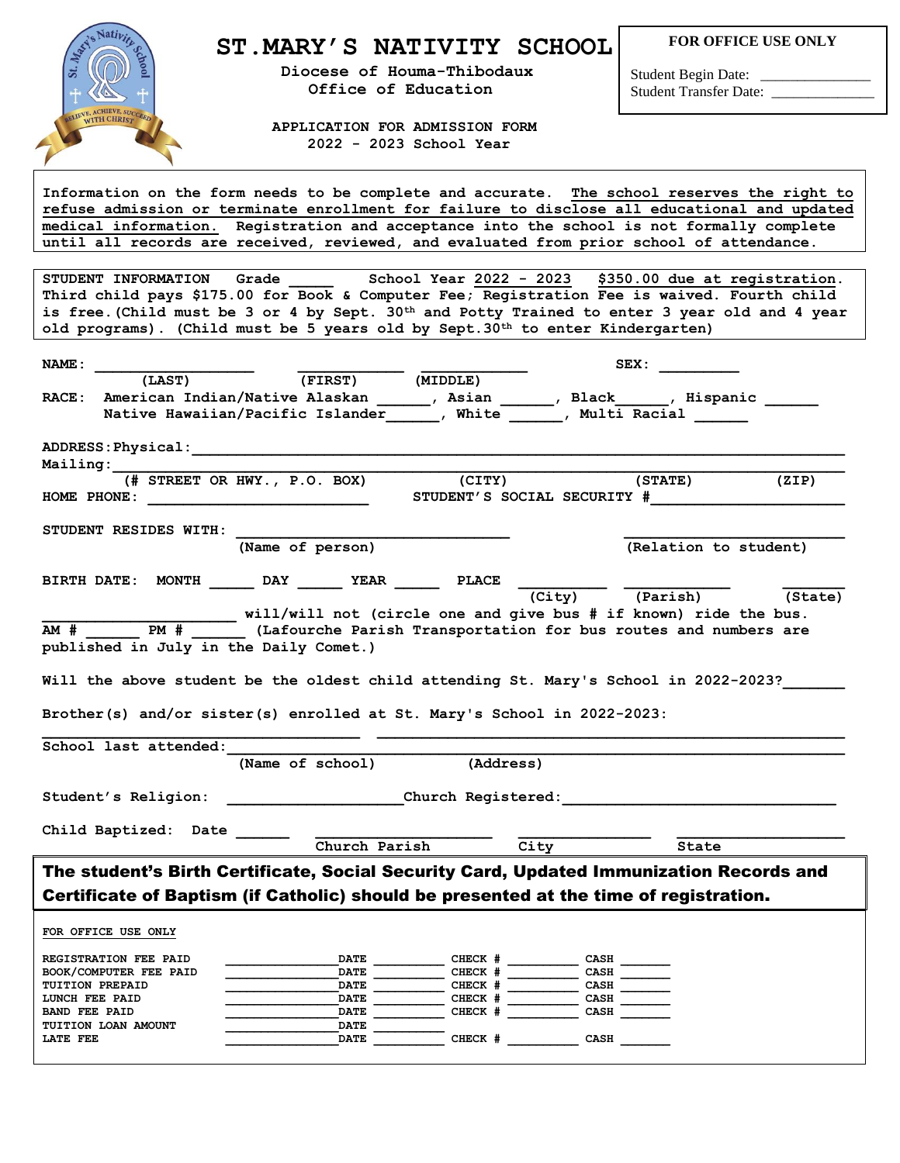

## **ST.MARY'S NATIVITY SCHOOL**

 **Diocese of Houma-Thibodaux Office of Education**

**FOR OFFICE USE ONLY**

Student Begin Date: Student Transfer Date: \_\_\_\_\_\_\_\_\_\_\_\_\_\_

 **APPLICATION FOR ADMISSION FORM 2022 - 2023 School Year**

**Information on the form needs to be complete and accurate. The school reserves the right to refuse admission or terminate enrollment for failure to disclose all educational and updated medical information. Registration and acceptance into the school is not formally complete until all records are received, reviewed, and evaluated from prior school of attendance.**

**STUDENT INFORMATION Grade \_\_\_\_\_ School Year 2022 - 2023 \$350.00 due at registration. Third child pays \$175.00 for Book & Computer Fee; Registration Fee is waived. Fourth child is free.(Child must be 3 or 4 by Sept. 30th and Potty Trained to enter 3 year old and 4 year old programs). (Child must be 5 years old by Sept.30th to enter Kindergarten)**

| NAME:                |                                          |                                                                         |                    | SEX:                                                                                    |         |
|----------------------|------------------------------------------|-------------------------------------------------------------------------|--------------------|-----------------------------------------------------------------------------------------|---------|
|                      | (LAST)                                   | (FIRST)                                                                 | (MIDDLE)           |                                                                                         |         |
| $\mathtt{RACE}$ :    |                                          |                                                                         |                    | American Indian/Native Alaskan ______, Asian ______, Black _____, Hispanic _____        |         |
|                      |                                          |                                                                         |                    | Native Hawaiian/Pacific Islander (b), White (b), Multi Racial                           |         |
|                      |                                          |                                                                         |                    |                                                                                         |         |
|                      |                                          |                                                                         |                    |                                                                                         |         |
| <b>Mailing:</b>      |                                          |                                                                         |                    |                                                                                         |         |
|                      |                                          | (# STREET OR HWY., P.O. BOX)<br>HOME PHONE: $\qquad \qquad$             | (CITY)             | (STATE)<br>STUDENT'S SOCIAL SECURITY #                                                  | (ZIP)   |
|                      | STUDENT RESIDES WITH:                    |                                                                         |                    |                                                                                         |         |
|                      |                                          | (Name of person)                                                        |                    | (Relation to student)                                                                   |         |
|                      |                                          | BIRTH DATE: MONTH DAY YEAR PLACE                                        |                    |                                                                                         |         |
|                      |                                          |                                                                         |                    | (Parish)<br>(City)                                                                      | (State) |
|                      |                                          |                                                                         |                    | will/will not (circle one and give bus # if known) ride the bus.                        |         |
| AM #                 | $PM$ #                                   |                                                                         |                    | (Lafourche Parish Transportation for bus routes and numbers are                         |         |
|                      |                                          | published in July in the Daily Comet.)                                  |                    |                                                                                         |         |
|                      |                                          |                                                                         |                    |                                                                                         |         |
|                      |                                          |                                                                         |                    | Will the above student be the oldest child attending St. Mary's School in 2022-2023?    |         |
|                      |                                          |                                                                         |                    |                                                                                         |         |
|                      |                                          | Brother(s) and/or sister(s) enrolled at St. Mary's School in 2022-2023: |                    |                                                                                         |         |
|                      |                                          |                                                                         |                    |                                                                                         |         |
|                      | School last attended:                    |                                                                         |                    |                                                                                         |         |
|                      |                                          | (Name of school)                                                        | (Address)          |                                                                                         |         |
|                      |                                          |                                                                         |                    |                                                                                         |         |
|                      | Student's Religion:                      |                                                                         |                    | church Registered: The Change of the Church Registered:                                 |         |
|                      |                                          |                                                                         |                    |                                                                                         |         |
|                      | Child Baptized: Date                     |                                                                         |                    |                                                                                         |         |
|                      |                                          | Church Parish                                                           | - City             | State                                                                                   |         |
|                      |                                          |                                                                         |                    | The student's Birth Certificate, Social Security Card, Updated Immunization Records and |         |
|                      |                                          |                                                                         |                    |                                                                                         |         |
|                      |                                          |                                                                         |                    | Certificate of Baptism (if Catholic) should be presented at the time of registration.   |         |
|                      |                                          |                                                                         |                    |                                                                                         |         |
|                      | FOR OFFICE USE ONLY                      |                                                                         |                    |                                                                                         |         |
|                      |                                          |                                                                         |                    |                                                                                         |         |
|                      | REGISTRATION FEE PAID                    | <b>DATE</b>                                                             | CHECK #            | <b>CASH</b>                                                                             |         |
|                      | BOOK/COMPUTER FEE PAID                   | <b>DATE</b>                                                             | CHECK #<br>CHECK # | <b>CASH</b><br><b>CASH</b>                                                              |         |
|                      | <b>TUITION PREPAID</b><br>LUNCH FEE PAID | <b>DATE</b><br><b>DATE</b>                                              | CHECK #            | <b>CASH</b>                                                                             |         |
| <b>BAND FEE PAID</b> |                                          | <b>DATE</b>                                                             | CHECK #            | <b>CASH</b>                                                                             |         |
|                      | TUITION LOAN AMOUNT                      | <b>DATE</b>                                                             |                    |                                                                                         |         |
| LATE FEE             |                                          | <b>DATE</b>                                                             | CHECK #            | CASH                                                                                    |         |
|                      |                                          |                                                                         |                    |                                                                                         |         |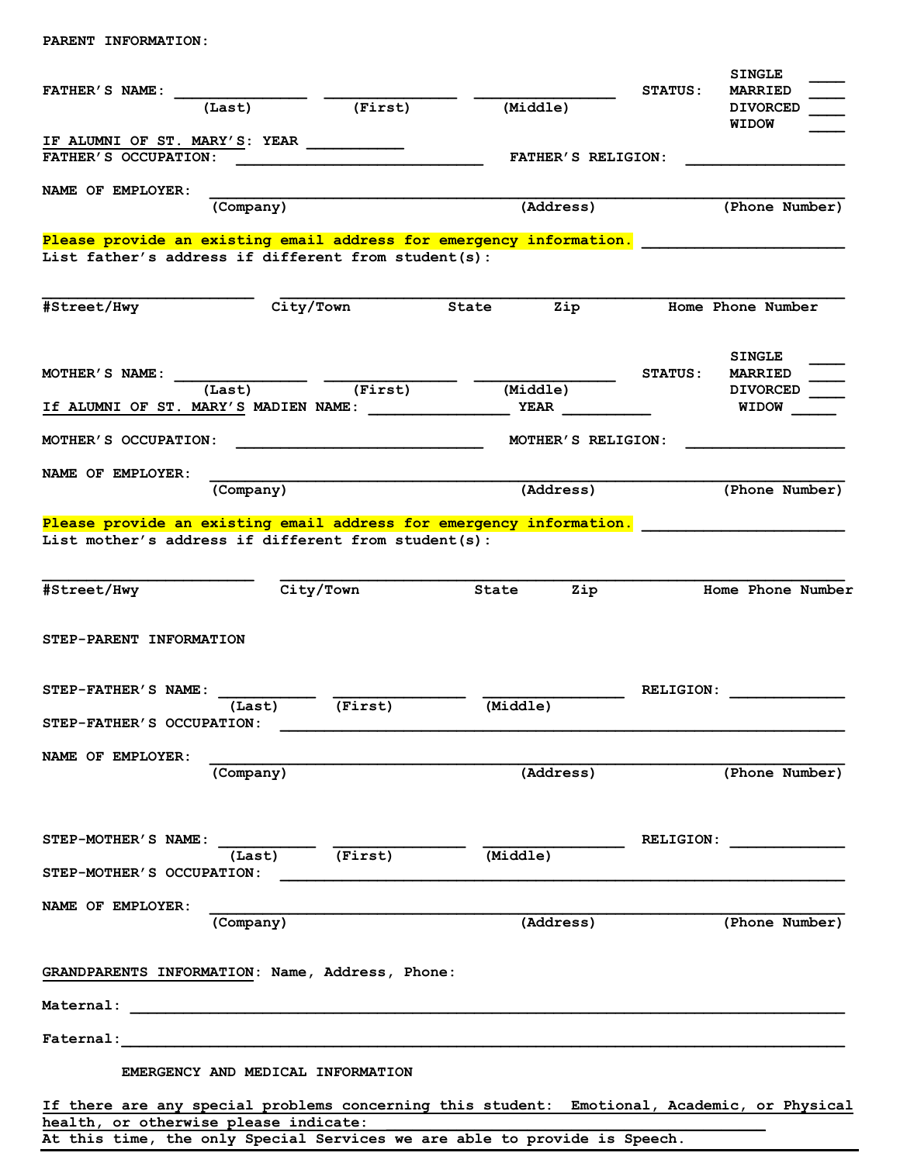## **PARENT INFORMATION:**

|                                                        |                                   |                                                                     | <b>SINGLE</b>                                                                               |
|--------------------------------------------------------|-----------------------------------|---------------------------------------------------------------------|---------------------------------------------------------------------------------------------|
| FATHER'S NAME:                                         |                                   |                                                                     | <b>MARRIED</b><br><b>STATUS:</b>                                                            |
| (Last)                                                 | (First)                           | (Middle)                                                            | <b>DIVORCED</b>                                                                             |
|                                                        |                                   |                                                                     | <b>WIDOW</b>                                                                                |
| IF ALUMNI OF ST. MARY'S: YEAR $\overline{\phantom{a}}$ |                                   |                                                                     |                                                                                             |
| FATHER'S OCCUPATION:                                   |                                   | <b>FATHER'S RELIGION:</b>                                           |                                                                                             |
|                                                        |                                   |                                                                     |                                                                                             |
| NAME OF EMPLOYER:                                      |                                   |                                                                     |                                                                                             |
|                                                        | (Company)                         | (Address)                                                           | (Phone Number)                                                                              |
|                                                        |                                   |                                                                     |                                                                                             |
|                                                        |                                   | Please provide an existing email address for emergency information. |                                                                                             |
| List father's address if different from student(s):    |                                   |                                                                     |                                                                                             |
|                                                        |                                   |                                                                     |                                                                                             |
|                                                        |                                   |                                                                     |                                                                                             |
| #Street/Hwy                                            | City/Town                         | Zip<br>State                                                        | Home Phone Number                                                                           |
|                                                        |                                   |                                                                     |                                                                                             |
|                                                        |                                   |                                                                     |                                                                                             |
|                                                        |                                   |                                                                     | <b>SINGLE</b>                                                                               |
| MOTHER'S NAME:                                         |                                   |                                                                     | <b>MARRIED</b><br><b>STATUS:</b>                                                            |
| (Last)                                                 | (First)                           | (Middle)                                                            | <b>DIVORCED</b>                                                                             |
| If ALUMNI OF ST. MARY'S MADIEN NAME:                   |                                   |                                                                     | <b>WIDOW</b>                                                                                |
|                                                        |                                   |                                                                     |                                                                                             |
| MOTHER'S OCCUPATION:                                   |                                   | MOTHER'S RELIGION:                                                  |                                                                                             |
|                                                        |                                   |                                                                     |                                                                                             |
| NAME OF EMPLOYER:                                      |                                   |                                                                     |                                                                                             |
|                                                        | (Company)                         | (Address)                                                           | (Phone Number)                                                                              |
|                                                        |                                   |                                                                     |                                                                                             |
|                                                        |                                   | Please provide an existing email address for emergency information. |                                                                                             |
| List mother's address if different from student(s):    |                                   |                                                                     |                                                                                             |
|                                                        |                                   |                                                                     |                                                                                             |
| #Street/Hwy                                            | City/Town                         | Zip<br>State                                                        | Home Phone Number                                                                           |
|                                                        |                                   |                                                                     |                                                                                             |
|                                                        |                                   |                                                                     |                                                                                             |
| STEP-PARENT INFORMATION                                |                                   |                                                                     |                                                                                             |
|                                                        |                                   |                                                                     |                                                                                             |
|                                                        |                                   |                                                                     |                                                                                             |
| STEP-FATHER'S NAME:                                    |                                   |                                                                     | <b>RELIGION:</b>                                                                            |
|                                                        | (Last)<br>(First)                 | (Middle)                                                            |                                                                                             |
| STEP-FATHER'S OCCUPATION:                              |                                   |                                                                     |                                                                                             |
|                                                        |                                   |                                                                     |                                                                                             |
| NAME OF EMPLOYER:                                      |                                   |                                                                     |                                                                                             |
|                                                        | (Company)                         | (Address)                                                           | (Phone Number)                                                                              |
|                                                        |                                   |                                                                     |                                                                                             |
|                                                        |                                   |                                                                     |                                                                                             |
|                                                        |                                   |                                                                     |                                                                                             |
| STEP-MOTHER'S NAME:                                    |                                   |                                                                     | RELIGION:                                                                                   |
|                                                        | $(Last)$ $(Tirst)$                | (Middle)                                                            |                                                                                             |
| STEP-MOTHER'S OCCUPATION:                              |                                   |                                                                     |                                                                                             |
|                                                        |                                   |                                                                     |                                                                                             |
| NAME OF EMPLOYER:                                      |                                   |                                                                     |                                                                                             |
|                                                        | (Company)                         | (Address)                                                           | (Phone Number)                                                                              |
|                                                        |                                   |                                                                     |                                                                                             |
|                                                        |                                   |                                                                     |                                                                                             |
| GRANDPARENTS INFORMATION: Name, Address, Phone:        |                                   |                                                                     |                                                                                             |
|                                                        |                                   |                                                                     |                                                                                             |
|                                                        |                                   |                                                                     |                                                                                             |
|                                                        |                                   |                                                                     |                                                                                             |
|                                                        |                                   |                                                                     |                                                                                             |
|                                                        |                                   |                                                                     |                                                                                             |
|                                                        | EMERGENCY AND MEDICAL INFORMATION |                                                                     |                                                                                             |
|                                                        |                                   |                                                                     |                                                                                             |
|                                                        |                                   |                                                                     | If there are any special problems concerning this student: Emotional, Academic, or Physical |
| health, or otherwise please indicate:                  |                                   |                                                                     |                                                                                             |

**At this time, the only Special Services we are able to provide is Speech.**